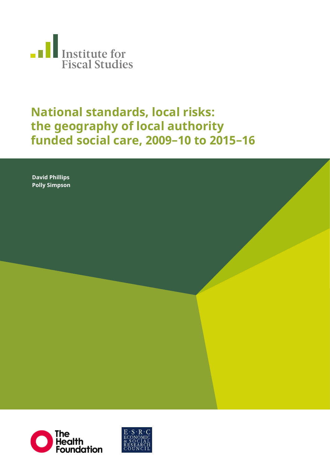

## **National standards, local risks: the geography of local authority funded social care, 2009–10 to 2015–16**

**Neil Amin Smith, David Phil-David Phillips lips, Polly Simpson Polly Simpson**



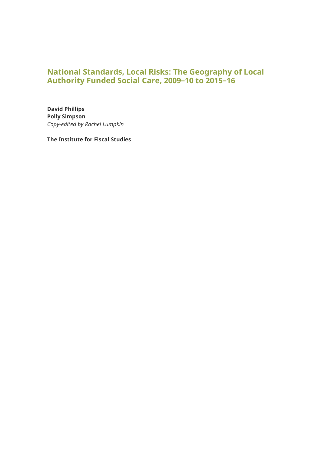### **National Standards, Local Risks: The Geography of Local Authority Funded Social Care, 2009–10 to 2015–16**

**David Phillips Polly Simpson** *Copy-edited by Rachel Lumpkin* 

**The Institute for Fiscal Studies**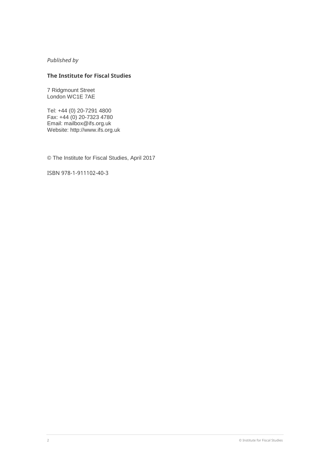*Published by* 

#### **The Institute for Fiscal Studies**

7 Ridgmount Street London WC1E 7AE

Tel: +44 (0) 20-7291 4800 Fax: +44 (0) 20-7323 4780 Email: [mailbox@ifs.org.uk](mailto:mailbox@ifs.org.uk) Website: http://www.ifs.org.uk

© The Institute for Fiscal Studies, April 2017

ISBN 978-1-911102-40-3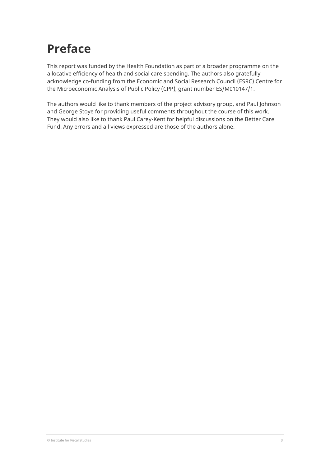# **Preface**

This report was funded by the Health Foundation as part of a broader programme on the allocative efficiency of health and social care spending. The authors also gratefully acknowledge co-funding from the Economic and Social Research Council (ESRC) Centre for the Microeconomic Analysis of Public Policy (CPP), grant number ES/M010147/1.

The authors would like to thank members of the project advisory group, and Paul Johnson and George Stoye for providing useful comments throughout the course of this work. They would also like to thank Paul Carey-Kent for helpful discussions on the Better Care Fund. Any errors and all views expressed are those of the authors alone.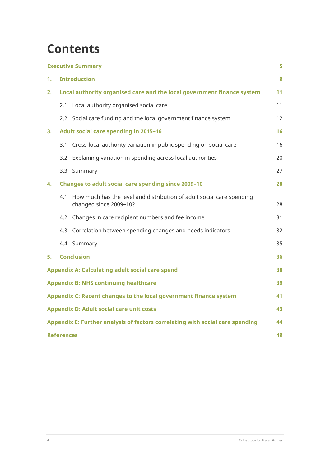# **Contents**

|                                                                   |                                                                                     | <b>Executive Summary</b>                                                                        | 5  |  |  |
|-------------------------------------------------------------------|-------------------------------------------------------------------------------------|-------------------------------------------------------------------------------------------------|----|--|--|
| 1.                                                                | <b>Introduction</b>                                                                 |                                                                                                 |    |  |  |
| 2.                                                                |                                                                                     | Local authority organised care and the local government finance system                          | 11 |  |  |
|                                                                   | 2.1                                                                                 | Local authority organised social care                                                           | 11 |  |  |
|                                                                   |                                                                                     | 2.2 Social care funding and the local government finance system                                 | 12 |  |  |
| 3.                                                                |                                                                                     | <b>Adult social care spending in 2015-16</b>                                                    | 16 |  |  |
|                                                                   | 3.1                                                                                 | Cross-local authority variation in public spending on social care                               | 16 |  |  |
|                                                                   | 3.2                                                                                 | Explaining variation in spending across local authorities                                       | 20 |  |  |
|                                                                   |                                                                                     | 3.3 Summary                                                                                     | 27 |  |  |
| 4.                                                                |                                                                                     | <b>Changes to adult social care spending since 2009-10</b>                                      | 28 |  |  |
|                                                                   | 4.1                                                                                 | How much has the level and distribution of adult social care spending<br>changed since 2009-10? | 28 |  |  |
|                                                                   | 4.2                                                                                 | Changes in care recipient numbers and fee income                                                | 31 |  |  |
|                                                                   | 4.3                                                                                 | Correlation between spending changes and needs indicators                                       | 32 |  |  |
|                                                                   |                                                                                     | 4.4 Summary                                                                                     | 35 |  |  |
| 5.                                                                |                                                                                     | <b>Conclusion</b>                                                                               | 36 |  |  |
| <b>Appendix A: Calculating adult social care spend</b>            |                                                                                     |                                                                                                 |    |  |  |
| <b>Appendix B: NHS continuing healthcare</b>                      |                                                                                     |                                                                                                 |    |  |  |
| Appendix C: Recent changes to the local government finance system |                                                                                     |                                                                                                 |    |  |  |
| <b>Appendix D: Adult social care unit costs</b><br>43             |                                                                                     |                                                                                                 |    |  |  |
|                                                                   | Appendix E: Further analysis of factors correlating with social care spending<br>44 |                                                                                                 |    |  |  |
| <b>References</b><br>49                                           |                                                                                     |                                                                                                 |    |  |  |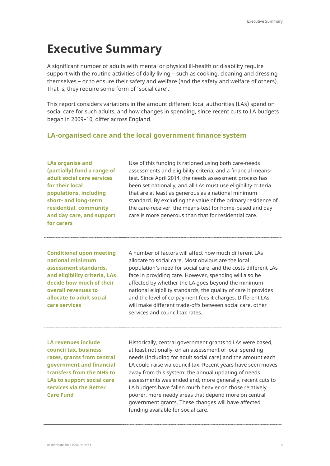## <span id="page-5-0"></span>**Executive Summary**

A significant number of adults with mental or physical ill-health or disability require support with the routine activities of daily living – such as cooking, cleaning and dressing themselves – or to ensure their safety and welfare (and the safety and welfare of others). That is, they require some form of 'social care'.

This report considers variations in the amount different local authorities (LAs) spend on social care for such adults, and how changes in spending, since recent cuts to LA budgets began in 2009–10, differ across England.

### **LA-organised care and the local government finance system**

**LAs organise and (partially) fund a range of adult social care services for their local populations, including short- and long-term residential, community and day care, and support for carers**

Use of this funding is rationed using both care-needs assessments and eligibility criteria, and a financial meanstest. Since April 2014, the needs assessment process has been set nationally, and all LAs must use eligibility criteria that are at least as generous as a national minimum standard. By excluding the value of the primary residence of the care-receiver, the means-test for home-based and day care is more generous than that for residential care.

**Conditional upon meeting national minimum assessment standards, and eligibility criteria, LAs decide how much of their overall revenues to allocate to adult social care services**

A number of factors will affect how much different LAs allocate to social care. Most obvious are the local population's need for social care, and the costs different LAs face in providing care. However, spending will also be affected by whether the LA goes beyond the minimum national eligibility standards, the quality of care it provides and the level of co-payment fees it charges. Different LAs will make different trade-offs between social care, other services and council tax rates.

**LA revenues include council tax, business rates, grants from central government and financial transfers from the NHS to LAs to support social care services via the Better Care Fund**

Historically, central government grants to LAs were based, at least notionally, on an assessment of local spending needs (including for adult social care) and the amount each LA could raise via council tax. Recent years have seen moves away from this system: the annual updating of needs assessments was ended and, more generally, recent cuts to LA budgets have fallen much heavier on those relatively poorer, more needy areas that depend more on central government grants. These changes will have affected funding available for social care.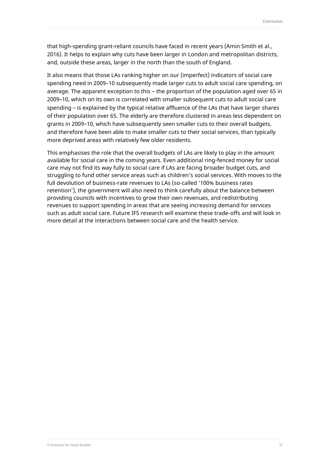that high-spending grant-reliant councils have faced in recent years (Amin Smith et al., 2016). It helps to explain why cuts have been larger in London and metropolitan districts, and, outside these areas, larger in the north than the south of England.

It also means that those LAs ranking higher on our (imperfect) indicators of social care spending need in 2009–10 subsequently made larger cuts to adult social care spending, on average. The apparent exception to this – the proportion of the population aged over 65 in 2009–10, which on its own is correlated with smaller subsequent cuts to adult social care spending – is explained by the typical relative affluence of the LAs that have larger shares of their population over 65. The elderly are therefore clustered in areas less dependent on grants in 2009–10, which have subsequently seen smaller cuts to their overall budgets, and therefore have been able to make smaller cuts to their social services, than typically more deprived areas with relatively few older residents.

This emphasises the role that the overall budgets of LAs are likely to play in the amount available for social care in the coming years. Even additional ring-fenced money for social care may not find its way fully to social care if LAs are facing broader budget cuts, and struggling to fund other service areas such as children's social services. With moves to the full devolution of business-rate revenues to LAs (so-called '100% business rates retention'), the government will also need to think carefully about the balance between providing councils with incentives to grow their own revenues, and redistributing revenues to support spending in areas that are seeing increasing demand for services such as adult social care. Future IFS research will examine these trade-offs and will look in more detail at the interactions between social care and the health service.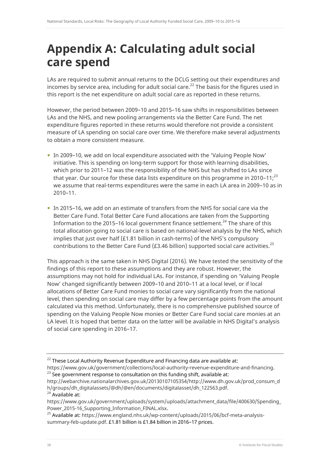## <span id="page-38-0"></span>**Appendix A: Calculating adult social care spend**

LAs are required to submit annual returns to the DCLG setting out their expenditures and incomes by service area, including for adult social care.<sup>22</sup> The basis for the figures used in this report is the net expenditure on adult social care as reported in these returns.

However, the period between 2009–10 and 2015–16 saw shifts in responsibilities between LAs and the NHS, and new pooling arrangements via the Better Care Fund. The net expenditure figures reported in these returns would therefore not provide a consistent measure of LA spending on social care over time. We therefore make several adjustments to obtain a more consistent measure.

- In 2009–10, we add on local expenditure associated with the 'Valuing People Now' initiative. This is spending on long-term support for those with learning disabilities, which prior to 2011–12 was the responsibility of the NHS but has shifted to LAs since that year. Our source for these data lists expenditure on this programme in 2010–11; $^{23}$ we assume that real-terms expenditures were the same in each LA area in 2009–10 as in 2010–11.
- In 2015–16, we add on an estimate of transfers from the NHS for social care via the Better Care Fund. Total Better Care Fund allocations are taken from the Supporting Information to the 2015–16 local government finance settlement.<sup>24</sup> The share of this total allocation going to social care is based on national-level analysis by the NHS, which implies that just over half (£1.81 billion in cash-terms) of the NHS's compulsory contributions to the Better Care Fund (£3.46 billion) supported social care activities. $^{25}$

This approach is the same taken in NHS Digital (2016). We have tested the sensitivity of the findings of this report to these assumptions and they are robust. However, the assumptions may not hold for individual LAs. For instance, if spending on 'Valuing People Now' changed significantly between 2009–10 and 2010–11 at a local level, or if local allocations of Better Care Fund monies to social care vary significantly from the national level, then spending on social care may differ by a few percentage points from the amount calculated via this method. Unfortunately, there is no comprehensive published source of spending on the Valuing People Now monies or Better Care Fund social care monies at an LA level. It is hoped that better data on the latter will be available in NHS Digital's analysis of social care spending in 2016–17.

<sup>24</sup> Available at:

 $22$  These Local Authority Revenue Expenditure and Financing data are available at:

[https://www.gov.uk/government/collections/local-authority-revenue-expenditure-and-financing.](https://www.gov.uk/government/collections/local-authority-revenue-expenditure-and-financing)  $^{23}$  See government response to consultation on this funding shift, available at:

[http://webarchive.nationalarchives.gov.uk/20130107105354/http://www.dh.gov.uk/prod\\_consum\\_d](http://webarchive.nationalarchives.gov.uk/20130107105354/http:/www.dh.gov.uk/prod_consum_dh/groups/dh_digitalassets/@dh/@en/documents/digitalasset/dh_122563.pdf) [h/groups/dh\\_digitalassets/@dh/@en/documents/digitalasset/dh\\_122563.pdf.](http://webarchive.nationalarchives.gov.uk/20130107105354/http:/www.dh.gov.uk/prod_consum_dh/groups/dh_digitalassets/@dh/@en/documents/digitalasset/dh_122563.pdf)

[https://www.gov.uk/government/uploads/system/uploads/attachment\\_data/file/400630/Spending\\_](https://www.gov.uk/government/uploads/system/uploads/attachment_data/file/400630/Spending_Power_2015-16_Supporting_Information_FINAL.xlsx) Power 2015-16 Supporting Information FINAL.xlsx.

<sup>25</sup> Available at[: https://www.england.nhs.uk/wp-content/uploads/2015/06/bcf-meta-analysis](https://www.england.nhs.uk/wp-content/uploads/2015/06/bcf-meta-analysis-summary-feb-update.pdf)[summary-feb-update.pdf.](https://www.england.nhs.uk/wp-content/uploads/2015/06/bcf-meta-analysis-summary-feb-update.pdf) £1.81 billion is £1.84 billion in 2016–17 prices.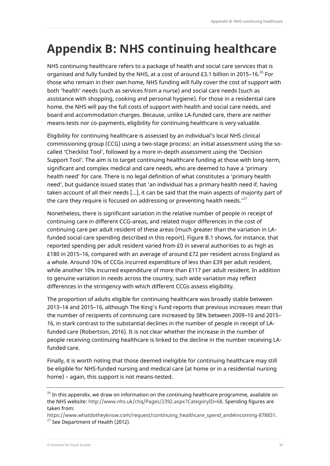# <span id="page-39-0"></span>**Appendix B: NHS continuing healthcare**

NHS continuing healthcare refers to a package of health and social care services that is organised and fully funded by the NHS, at a cost of around £3.1 billion in 2015–16. $^{26}$  For those who remain in their own home, NHS funding will fully cover the cost of support with both 'health' needs (such as services from a nurse) and social care needs (such as assistance with shopping, cooking and personal hygiene). For those in a residential care home, the NHS will pay the full costs of support with health and social care needs, and board and accommodation charges. Because, unlike LA-funded care, there are neither means-tests nor co-payments, eligibility for continuing healthcare is very valuable.

Eligibility for continuing healthcare is assessed by an individual's local NHS clinical commissioning group (CCG) using a two-stage process: an initial assessment using the socalled 'Checklist Tool', followed by a more in-depth assessment using the 'Decision Support Tool'. The aim is to target continuing healthcare funding at those with long-term, significant and complex medical and care needs, who are deemed to have a 'primary health need' for care. There is no legal definition of what constitutes a 'primary health need', but guidance issued states that 'an individual has a primary health need if, having taken account of all their needs [...], it can be said that the main aspects of majority part of the care they require is focused on addressing or preventing health needs.' $^{27}$ 

Nonetheless, there is significant variation in the relative number of people in receipt of continuing care in different CCG-areas, and related major differences in the cost of continuing care per adult resident of these areas (much greater than the variation in LAfunded social care spending described in this report). Figure B.1 shows, for instance, that reported spending per adult resident varied from £0 in several authorities to as high as £180 in 2015–16, compared with an average of around £72 per resident across England as a whole. Around 10% of CCGs incurred expenditure of less than £39 per adult resident, while another 10% incurred expenditure of more than £117 per adult resident. In addition to genuine variation in needs across the country, such wide variation may reflect differences in the stringency with which different CCGs assess eligibility.

The proportion of adults eligible for continuing healthcare was broadly stable between 2013–14 and 2015–16, although The King's Fund reports that previous increases mean that the number of recipients of continuing care increased by 38% between 2009–10 and 2015– 16, in stark contrast to the substantial declines in the number of people in receipt of LAfunded care (Robertson, 2016). It is not clear whether the increase in the number of people receiving continuing healthcare is linked to the decline in the number receiving LAfunded care.

Finally, it is worth noting that those deemed ineligible for continuing healthcare may still be eligible for NHS-funded nursing and medical care (at home or in a residential nursing home) – again, this support is not means-tested.

 $26$  In this appendix, we draw on information on the continuing healthcare programme, available on the NHS website[: http://www.nhs.uk/chq/Pages/2392.aspx?CategoryID=68.](http://www.nhs.uk/chq/Pages/2392.aspx?CategoryID=68) Spending figures are taken from:

[https://www.whatdotheyknow.com/request/continuing\\_healthcare\\_spend\\_and#incoming-878831.](https://www.whatdotheyknow.com/request/continuing_healthcare_spend_and#incoming-878831)  $27$  See Department of Health (2012).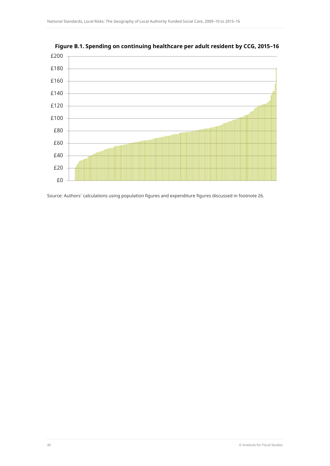



Source: Authors' calculations using population figures and expenditure figures discussed in footnote 26.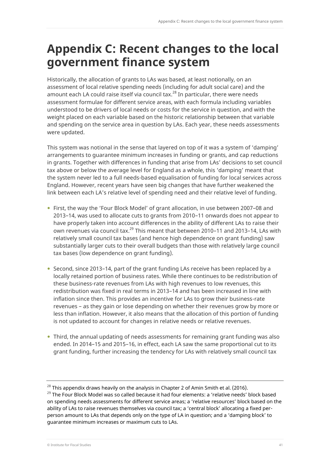## <span id="page-41-0"></span>**Appendix C: Recent changes to the local government finance system**

Historically, the allocation of grants to LAs was based, at least notionally, on an assessment of local relative spending needs (including for adult social care) and the amount each LA could raise itself via council tax. $^{28}$  In particular, there were needs assessment formulae for different service areas, with each formula including variables understood to be drivers of local needs or costs for the service in question, and with the weight placed on each variable based on the historic relationship between that variable and spending on the service area in question by LAs. Each year, these needs assessments were updated.

This system was notional in the sense that layered on top of it was a system of 'damping' arrangements to guarantee minimum increases in funding or grants, and cap reductions in grants. Together with differences in funding that arise from LAs' decisions to set council tax above or below the average level for England as a whole, this 'damping' meant that the system never led to a full needs-based equalisation of funding for local services across England. However, recent years have seen big changes that have further weakened the link between each LA's relative level of spending need and their relative level of funding.

- First, the way the 'Four Block Model' of grant allocation, in use between 2007–08 and 2013–14, was used to allocate cuts to grants from 2010–11 onwards does not appear to have properly taken into account differences in the ability of different LAs to raise their own revenues via council tax.<sup>29</sup> This meant that between 2010–11 and 2013–14, LAs with relatively small council tax bases (and hence high dependence on grant funding) saw substantially larger cuts to their overall budgets than those with relatively large council tax bases (low dependence on grant funding).
- Second, since 2013-14, part of the grant funding LAs receive has been replaced by a locally retained portion of business rates. While there continues to be redistribution of these business-rate revenues from LAs with high revenues to low revenues, this redistribution was fixed in real terms in 2013–14 and has been increased in line with inflation since then. This provides an incentive for LAs to grow their business-rate revenues – as they gain or lose depending on whether their revenues grow by more or less than inflation. However, it also means that the allocation of this portion of funding is not updated to account for changes in relative needs or relative revenues.
- Third, the annual updating of needs assessments for remaining grant funding was also ended. In 2014–15 and 2015–16, in effect, each LA saw the same proportional cut to its grant funding, further increasing the tendency for LAs with relatively small council tax

 $^{28}$  This appendix draws heavily on the analysis in Chapter 2 of Amin Smith et al. (2016).

<sup>&</sup>lt;sup>29</sup> The Four Block Model was so called because it had four elements: a 'relative needs' block based on spending needs assessments for different service areas; a 'relative resources' block based on the ability of LAs to raise revenues themselves via council tax; a 'central block' allocating a fixed perperson amount to LAs that depends only on the type of LA in question; and a 'damping block' to guarantee minimum increases or maximum cuts to LAs.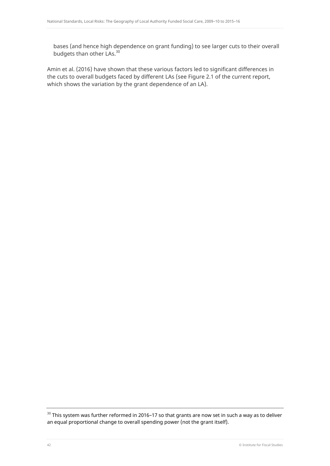bases (and hence high dependence on grant funding) to see larger cuts to their overall budgets than other LAs.<sup>30</sup>

Amin et al. (2016) have shown that these various factors led to significant differences in the cuts to overall budgets faced by different LAs (see Figure 2.1 of the current report, which shows the variation by the grant dependence of an LA).

 $30$  This system was further reformed in 2016–17 so that grants are now set in such a way as to deliver an equal proportional change to overall spending power (not the grant itself).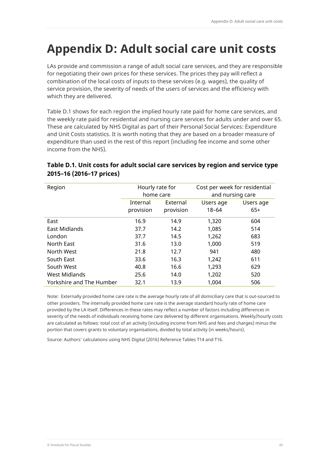# <span id="page-43-0"></span>**Appendix D: Adult social care unit costs**

LAs provide and commission a range of adult social care services, and they are responsible for negotiating their own prices for these services. The prices they pay will reflect a combination of the local costs of inputs to these services (e.g. wages), the quality of service provision, the severity of needs of the users of services and the efficiency with which they are delivered.

Table D.1 shows for each region the implied hourly rate paid for home care services, and the weekly rate paid for residential and nursing care services for adults under and over 65. These are calculated by NHS Digital as part of their Personal Social Services: Expenditure and Unit Costs statistics. It is worth noting that they are based on a broader measure of expenditure than used in the rest of this report (including fee income and some other income from the NHS).

### **Table D.1. Unit costs for adult social care services by region and service type 2015–16 (2016–17 prices)**

| Region                   | Hourly rate for<br>home care |           | Cost per week for residential<br>and nursing care |           |
|--------------------------|------------------------------|-----------|---------------------------------------------------|-----------|
|                          | Internal                     | External  | Users age                                         | Users age |
|                          | provision                    | provision | $18 - 64$                                         | $65+$     |
| East                     | 16.9                         | 14.9      | 1,320                                             | 604       |
| East Midlands            | 37.7                         | 14.2      | 1,085                                             | 514       |
| London                   | 37.7                         | 14.5      | 1,262                                             | 683       |
| North East               | 31.6                         | 13.0      | 1,000                                             | 519       |
| North West               | 21.8                         | 12.7      | 941                                               | 480       |
| South East               | 33.6                         | 16.3      | 1,242                                             | 611       |
| South West               | 40.8                         | 16.6      | 1,293                                             | 629       |
| <b>West Midlands</b>     | 25.6                         | 14.0      | 1,202                                             | 520       |
| Yorkshire and The Humber | 32.1                         | 13.9      | 1,004                                             | 506       |

Note: Externally provided home care rate is the average hourly rate of all domiciliary care that is out-sourced to other providers. The internally provided home care rate is the average standard hourly rate of home care provided by the LA itself. Differences in these rates may reflect a number of factors including differences in severity of the needs of individuals receiving home care delivered by different organisations. Weekly/hourly costs are calculated as follows: total cost of an activity (including income from NHS and fees and charges) minus the portion that covers grants to voluntary organisations, divided by total activity (in weeks/hours).

Source: Authors' calculations using NHS Digital (2016) Reference Tables T14 and T16.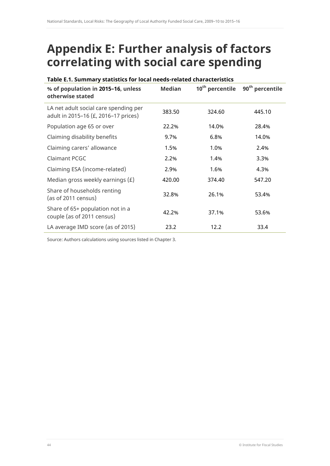## <span id="page-44-0"></span>**Appendix E: Further analysis of factors correlating with social care spending**

| Table E.1. Summary statistics for local needs-related characteristics         |               |                             |                             |  |
|-------------------------------------------------------------------------------|---------------|-----------------------------|-----------------------------|--|
| % of population in 2015-16, unless<br>otherwise stated                        | <b>Median</b> | 10 <sup>th</sup> percentile | 90 <sup>th</sup> percentile |  |
| LA net adult social care spending per<br>adult in 2015-16 (£, 2016-17 prices) | 383.50        | 324.60                      | 445.10                      |  |
| Population age 65 or over                                                     | 22.2%         | 14.0%                       | 28.4%                       |  |
| Claiming disability benefits                                                  | 9.7%          | 6.8%                        | 14.0%                       |  |
| Claiming carers' allowance                                                    | 1.5%          | 1.0%                        | 2.4%                        |  |
| Claimant PCGC                                                                 | 2.2%          | 1.4%                        | 3.3%                        |  |
| Claiming ESA (income-related)                                                 | 2.9%          | 1.6%                        | 4.3%                        |  |
| Median gross weekly earnings $(E)$                                            | 420.00        | 374.40                      | 547.20                      |  |
| Share of households renting<br>(as of 2011 census)                            | 32.8%         | 26.1%                       | 53.4%                       |  |
| Share of 65+ population not in a<br>couple (as of 2011 census)                | 42.2%         | 37.1%                       | 53.6%                       |  |
| LA average IMD score (as of 2015)                                             | 23.2          | 12.2                        | 33.4                        |  |

Source: Authors calculations using sources listed in Chapter 3.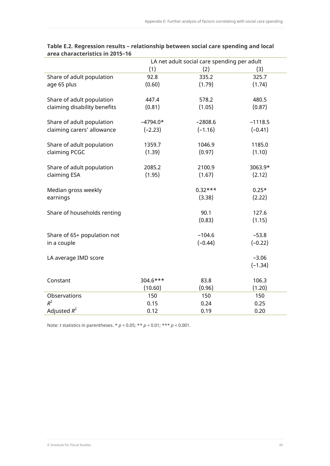|                              |            | LA net adult social care spending per adult |           |
|------------------------------|------------|---------------------------------------------|-----------|
|                              | (1)        | (2)                                         | (3)       |
| Share of adult population    | 92.8       | 335.2                                       | 325.7     |
| age 65 plus                  | (0.60)     | (1.79)                                      | (1.74)    |
|                              |            |                                             |           |
| Share of adult population    | 447.4      | 578.2                                       | 480.5     |
| claiming disability benefits | (0.81)     | (1.05)                                      | (0.87)    |
|                              |            |                                             |           |
| Share of adult population    | $-4794.0*$ | $-2808.6$                                   | $-1118.5$ |
| claiming carers' allowance   | $(-2.23)$  | $(-1.16)$                                   | $(-0.41)$ |
|                              |            |                                             |           |
| Share of adult population    | 1359.7     | 1046.9                                      | 1185.0    |
| claiming PCGC                | (1.39)     | (0.97)                                      | (1.10)    |
| Share of adult population    | 2085.2     | 2100.9                                      | 3063.9*   |
| claiming ESA                 | (1.95)     | (1.67)                                      | (2.12)    |
|                              |            |                                             |           |
| Median gross weekly          |            | $0.32***$                                   | $0.25*$   |
| earnings                     |            | (3.38)                                      | (2.22)    |
|                              |            |                                             |           |
| Share of households renting  |            | 90.1                                        | 127.6     |
|                              |            | (0.83)                                      | (1.15)    |
|                              |            |                                             |           |
| Share of 65+ population not  |            | $-104.6$                                    | $-53.8$   |
| in a couple                  |            | $(-0.44)$                                   | $(-0.22)$ |
|                              |            |                                             |           |
| LA average IMD score         |            |                                             | $-3.06$   |
|                              |            |                                             | $(-1.34)$ |
|                              |            |                                             |           |
| Constant                     | $304.6***$ | 83.8                                        | 106.3     |
|                              | (10.60)    | (0.96)                                      | (1.20)    |
| Observations                 | 150        | 150                                         | 150       |
| $R^2$                        | 0.15       | 0.24                                        | 0.25      |
| Adjusted $R^2$               | 0.12       | 0.19                                        | 0.20      |

#### **Table E.2. Regression results – relationship between social care spending and local area characteristics in 2015–16**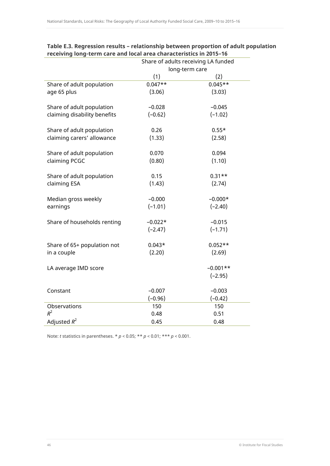|                              | Share of adults receiving LA funded |            |  |
|------------------------------|-------------------------------------|------------|--|
|                              | long-term care                      |            |  |
|                              | (1)                                 | (2)        |  |
| Share of adult population    | $0.047**$                           | $0.045**$  |  |
| age 65 plus                  | (3.06)                              | (3.03)     |  |
|                              |                                     |            |  |
| Share of adult population    | $-0.028$                            | $-0.045$   |  |
| claiming disability benefits | $(-0.62)$                           | $(-1.02)$  |  |
|                              |                                     |            |  |
| Share of adult population    | 0.26                                | $0.55*$    |  |
| claiming carers' allowance   | (1.33)                              | (2.58)     |  |
|                              |                                     |            |  |
| Share of adult population    | 0.070                               | 0.094      |  |
| claiming PCGC                | (0.80)                              | (1.10)     |  |
| Share of adult population    | 0.15                                | $0.31**$   |  |
| claiming ESA                 | (1.43)                              | (2.74)     |  |
|                              |                                     |            |  |
| Median gross weekly          | $-0.000$                            | $-0.000*$  |  |
| earnings                     | $(-1.01)$                           | $(-2.40)$  |  |
|                              |                                     |            |  |
| Share of households renting  | $-0.022*$                           | $-0.015$   |  |
|                              | $(-2.47)$                           | $(-1.71)$  |  |
|                              |                                     |            |  |
| Share of 65+ population not  | $0.043*$                            | $0.052**$  |  |
| in a couple                  | (2.20)                              | (2.69)     |  |
|                              |                                     |            |  |
| LA average IMD score         |                                     | $-0.001**$ |  |
|                              |                                     | $(-2.95)$  |  |
| Constant                     | $-0.007$                            | $-0.003$   |  |
|                              | $(-0.96)$                           | $(-0.42)$  |  |
| Observations                 | 150                                 | 150        |  |
| $R^2$                        | 0.48                                | 0.51       |  |
| Adjusted $R^2$               | 0.45                                | 0.48       |  |
|                              |                                     |            |  |

### **Table E.3. Regression results – relationship between proportion of adult population receiving long-term care and local area characteristics in 2015–16**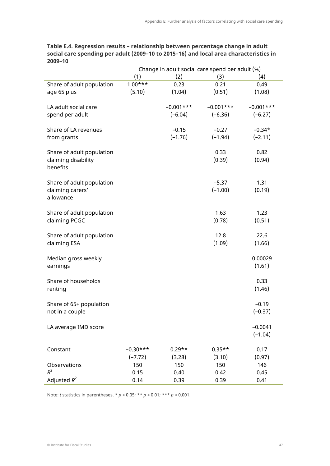|                           |            | Change in adult social care spend per adult (%) |              |              |
|---------------------------|------------|-------------------------------------------------|--------------|--------------|
|                           | (1)        | (2)                                             | (3)          | (4)          |
| Share of adult population | $1.00***$  | 0.23                                            | 0.21         | 0.49         |
| age 65 plus               | (5.10)     | (1.04)                                          | (0.51)       | (1.08)       |
|                           |            |                                                 |              |              |
| LA adult social care      |            | $-0.001$ ***                                    | $-0.001$ *** | $-0.001$ *** |
| spend per adult           |            | $(-6.04)$                                       | $(-6.36)$    | $(-6.27)$    |
|                           |            |                                                 |              |              |
| Share of LA revenues      |            | $-0.15$                                         | $-0.27$      | $-0.34*$     |
| from grants               |            | $(-1.76)$                                       | $(-1.94)$    | $(-2.11)$    |
|                           |            |                                                 |              |              |
| Share of adult population |            |                                                 | 0.33         | 0.82         |
| claiming disability       |            |                                                 | (0.39)       | (0.94)       |
| benefits                  |            |                                                 |              |              |
|                           |            |                                                 |              |              |
| Share of adult population |            |                                                 | $-5.37$      | 1.31         |
| claiming carers'          |            |                                                 | $(-1.00)$    | (0.19)       |
| allowance                 |            |                                                 |              |              |
|                           |            |                                                 |              |              |
| Share of adult population |            |                                                 | 1.63         | 1.23         |
| claiming PCGC             |            |                                                 | (0.78)       | (0.51)       |
|                           |            |                                                 |              |              |
| Share of adult population |            |                                                 | 12.8         | 22.6         |
| claiming ESA              |            |                                                 | (1.09)       | (1.66)       |
|                           |            |                                                 |              |              |
| Median gross weekly       |            |                                                 |              | 0.00029      |
| earnings                  |            |                                                 |              | (1.61)       |
| Share of households       |            |                                                 |              | 0.33         |
|                           |            |                                                 |              | (1.46)       |
| renting                   |            |                                                 |              |              |
| Share of 65+ population   |            |                                                 |              | $-0.19$      |
| not in a couple           |            |                                                 |              | $(-0.37)$    |
|                           |            |                                                 |              |              |
| LA average IMD score      |            |                                                 |              | $-0.0041$    |
|                           |            |                                                 |              | $(-1.04)$    |
|                           |            |                                                 |              |              |
| Constant                  | $-0.30***$ | $0.29**$                                        | $0.35**$     | 0.17         |
|                           | $(-7.72)$  | (3.28)                                          | (3.10)       | (0.97)       |
| Observations              | 150        | 150                                             | 150          | 146          |
| $R^2$                     | 0.15       | 0.40                                            | 0.42         | 0.45         |
| Adjusted $R^2$            | 0.14       | 0.39                                            | 0.39         | 0.41         |

### **Table E.4. Regression results – relationship between percentage change in adult social care spending per adult (2009–10 to 2015–16) and local area characteristics in 2009–10**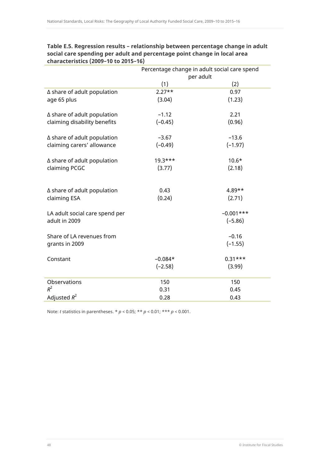|                                    | Percentage change in adult social care spend |              |  |
|------------------------------------|----------------------------------------------|--------------|--|
|                                    |                                              | per adult    |  |
|                                    | (1)                                          | (2)          |  |
| $\Delta$ share of adult population | $2.27**$                                     | 0.97         |  |
| age 65 plus                        | (3.04)                                       | (1.23)       |  |
| $\Delta$ share of adult population | $-1.12$                                      | 2.21         |  |
| claiming disability benefits       | $(-0.45)$                                    | (0.96)       |  |
| $\Delta$ share of adult population | $-3.67$                                      | $-13.6$      |  |
| claiming carers' allowance         | $(-0.49)$                                    | $(-1.97)$    |  |
| $\Delta$ share of adult population | $19.3***$                                    | $10.6*$      |  |
| claiming PCGC                      | (3.77)                                       | (2.18)       |  |
|                                    |                                              |              |  |
| $\Delta$ share of adult population | 0.43                                         | $4.89**$     |  |
| claiming ESA                       | (0.24)                                       | (2.71)       |  |
| LA adult social care spend per     |                                              | $-0.001$ *** |  |
| adult in 2009                      |                                              | $(-5.86)$    |  |
| Share of LA revenues from          |                                              | $-0.16$      |  |
| grants in 2009                     |                                              | $(-1.55)$    |  |
| Constant                           | $-0.084*$                                    | $0.31***$    |  |
|                                    | $(-2.58)$                                    | (3.99)       |  |
| Observations                       | 150                                          | 150          |  |
| $R^2$                              | 0.31                                         | 0.45         |  |
| Adjusted $R^2$                     | 0.28                                         | 0.43         |  |

### **Table E.5. Regression results – relationship between percentage change in adult social care spending per adult and percentage point change in local area characteristics (2009–10 to 2015–16)**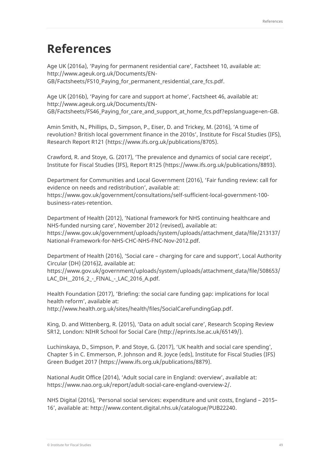## <span id="page-49-0"></span>**References**

Age UK (2016a), 'Paying for permanent residential care', Factsheet 10, available at: [http://www.ageuk.org.uk/Documents/EN-](http://www.ageuk.org.uk/Documents/EN-GB/Factsheets/FS10_Paying_for_permanent_residential_care_fcs.pdf)[GB/Factsheets/FS10\\_Paying\\_for\\_permanent\\_residential\\_care\\_fcs.pdf.](http://www.ageuk.org.uk/Documents/EN-GB/Factsheets/FS10_Paying_for_permanent_residential_care_fcs.pdf)

Age UK (2016b), 'Paying for care and support at home', Factsheet 46, available at: [http://www.ageuk.org.uk/Documents/EN-](http://www.ageuk.org.uk/Documents/EN-GB/Factsheets/FS46_Paying_for_care_and_support_at_home_fcs.pdf?epslanguage=en-GB)[GB/Factsheets/FS46\\_Paying\\_for\\_care\\_and\\_support\\_at\\_home\\_fcs.pdf?epslanguage=en-GB.](http://www.ageuk.org.uk/Documents/EN-GB/Factsheets/FS46_Paying_for_care_and_support_at_home_fcs.pdf?epslanguage=en-GB)

Amin Smith, N., Phillips, D., Simpson, P., Eiser, D. and Trickey, M. (2016), 'A time of revolution? British local government finance in the 2010s', Institute for Fiscal Studies (IFS), Research Report R121 [\(https://www.ifs.org.uk/publications/8705\)](https://www.ifs.org.uk/publications/8705).

Crawford, R. and Stoye, G. (2017), 'The prevalence and dynamics of social care receipt', Institute for Fiscal Studies (IFS), Report R125 [\(https://www.ifs.org.uk/publications/8893\)](https://www.ifs.org.uk/publications/8893).

Department for Communities and Local Government (2016), 'Fair funding review: call for evidence on needs and redistribution', available at: [https://www.gov.uk/government/consultations/self-sufficient-local-government-100](https://www.gov.uk/government/consultations/self-sufficient-local-government-100-business-rates-retention) [business-rates-retention.](https://www.gov.uk/government/consultations/self-sufficient-local-government-100-business-rates-retention) 

Department of Health (2012), 'National framework for NHS continuing healthcare and NHS-funded nursing care', November 2012 (revised), available at: [https://www.gov.uk/government/uploads/system/uploads/attachment\\_data/file/213137/](https://www.gov.uk/government/uploads/system/uploads/attachment_data/file/213137/National-Framework-for-NHS-CHC-NHS-FNC-Nov-2012.pdf) [National-Framework-for-NHS-CHC-NHS-FNC-Nov-2012.pdf.](https://www.gov.uk/government/uploads/system/uploads/attachment_data/file/213137/National-Framework-for-NHS-CHC-NHS-FNC-Nov-2012.pdf)

Department of Health (2016), 'Social care – charging for care and support', Local Authority Circular (DH) (2016)2, available at:

[https://www.gov.uk/government/uploads/system/uploads/attachment\\_data/file/508653/](https://www.gov.uk/government/uploads/system/uploads/attachment_data/file/508653/LAC_DH__2016_2_-_FINAL_-_LAC_2016_A.pdf) [LAC\\_DH\\_\\_2016\\_2\\_-\\_FINAL\\_-\\_LAC\\_2016\\_A.pdf.](https://www.gov.uk/government/uploads/system/uploads/attachment_data/file/508653/LAC_DH__2016_2_-_FINAL_-_LAC_2016_A.pdf)

Health Foundation (2017), 'Briefing: the social care funding gap: implications for local health reform', available at:

[http://www.health.org.uk/sites/health/files/SocialCareFundingGap.pdf.](http://www.health.org.uk/sites/health/files/SocialCareFundingGap.pdf)

King, D. and Wittenberg, R. (2015), 'Data on adult social care', Research Scoping Review SR12, London: NIHR School for Social Care [\(http://eprints.lse.ac.uk/65149/\)](http://eprints.lse.ac.uk/65149/).

Luchinskaya, D., Simpson, P. and Stoye, G. (2017), 'UK health and social care spending', Chapter 5 in C. Emmerson, P. Johnson and R. Joyce (eds), Institute for Fiscal Studies (IFS) Green Budget 2017 [\(https://www.ifs.org.uk/publications/8879\)](https://www.ifs.org.uk/publications/8879).

National Audit Office (2014), 'Adult social care in England: overview', available at: [https://www.nao.org.uk/report/adult-social-care-england-overview-2/.](https://www.nao.org.uk/report/adult-social-care-england-overview-2/)

NHS Digital (2016), 'Personal social services: expenditure and unit costs, England – 2015– 16', available at: [http://www.content.digital.nhs.uk/catalogue/PUB22240.](http://www.content.digital.nhs.uk/catalogue/PUB22240)